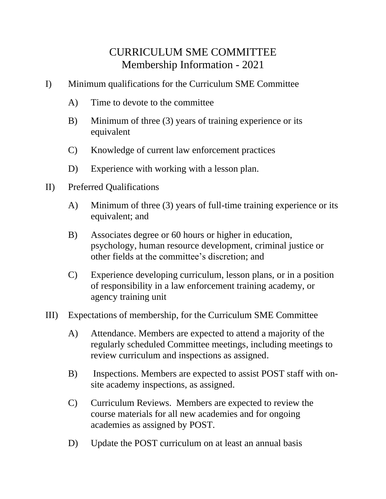## CURRICULUM SME COMMITTEE Membership Information - 2021

- I) Minimum qualifications for the Curriculum SME Committee
	- A) Time to devote to the committee
	- B) Minimum of three (3) years of training experience or its equivalent
	- C) Knowledge of current law enforcement practices
	- D) Experience with working with a lesson plan.
- II) Preferred Qualifications
	- A) Minimum of three (3) years of full-time training experience or its equivalent; and
	- B) Associates degree or 60 hours or higher in education, psychology, human resource development, criminal justice or other fields at the committee's discretion; and
	- C) Experience developing curriculum, lesson plans, or in a position of responsibility in a law enforcement training academy, or agency training unit
- III) Expectations of membership, for the Curriculum SME Committee
	- A) Attendance. Members are expected to attend a majority of the regularly scheduled Committee meetings, including meetings to review curriculum and inspections as assigned.
	- B) Inspections. Members are expected to assist POST staff with onsite academy inspections, as assigned.
	- C) Curriculum Reviews. Members are expected to review the course materials for all new academies and for ongoing academies as assigned by POST.
	- D) Update the POST curriculum on at least an annual basis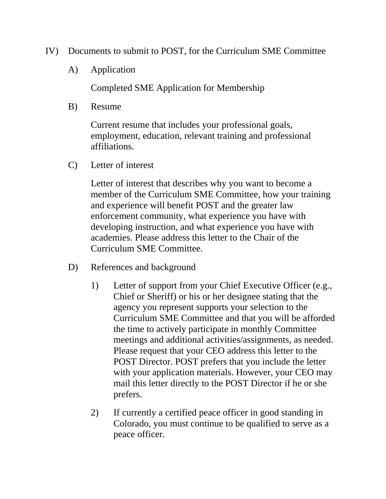- IV) Documents to submit to POST, for the Curriculum SME Committee
	- A) Application

Completed SME Application for Membership

B) Resume

Current resume that includes your professional goals, employment, education, relevant training and professional affiliations.

C) Letter of interest

Letter of interest that describes why you want to become a member of the Curriculum SME Committee, how your training and experience will benefit POST and the greater law enforcement community, what experience you have with developing instruction, and what experience you have with academies. Please address this letter to the Chair of the Curriculum SME Committee.

- D) References and background
	- 1) Letter of support from your Chief Executive Officer (e.g., Chief or Sheriff) or his or her designee stating that the agency you represent supports your selection to the Curriculum SME Committee and that you will be afforded the time to actively participate in monthly Committee meetings and additional activities/assignments, as needed. Please request that your CEO address this letter to the POST Director. POST prefers that you include the letter with your application materials. However, your CEO may mail this letter directly to the POST Director if he or she prefers.
	- 2) If currently a certified peace officer in good standing in Colorado, you must continue to be qualified to serve as a peace officer.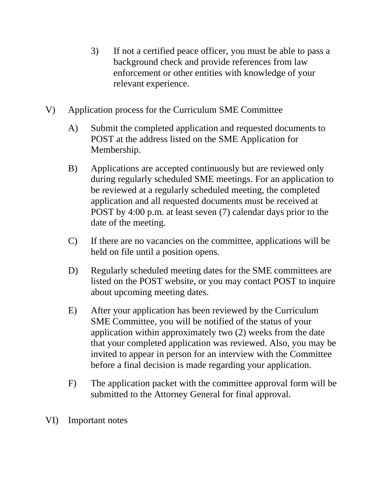- 3) If not a certified peace officer, you must be able to pass a background check and provide references from law enforcement or other entities with knowledge of your relevant experience.
- V) Application process for the Curriculum SME Committee
	- A) Submit the completed application and requested documents to POST at the address listed on the SME Application for Membership.
	- B) Applications are accepted continuously but are reviewed only during regularly scheduled SME meetings. For an application to be reviewed at a regularly scheduled meeting, the completed application and all requested documents must be received at POST by 4:00 p.m. at least seven (7) calendar days prior to the date of the meeting.
	- C) If there are no vacancies on the committee, applications will be held on file until a position opens.
	- D) Regularly scheduled meeting dates for the SME committees are listed on the POST website, or you may contact POST to inquire about upcoming meeting dates.
	- E) After your application has been reviewed by the Curriculum SME Committee, you will be notified of the status of your application within approximately two (2) weeks from the date that your completed application was reviewed. Also, you may be invited to appear in person for an interview with the Committee before a final decision is made regarding your application.
	- F) The application packet with the committee approval form will be submitted to the Attorney General for final approval.
- VI) Important notes